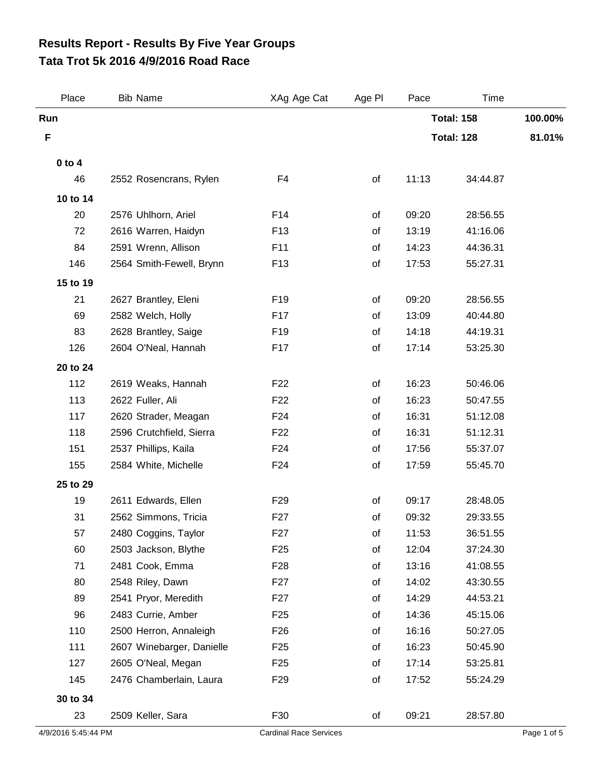## **Tata Trot 5k 2016 4/9/2016 Road Race Results Report - Results By Five Year Groups**

| Place               | <b>Bib Name</b>           | XAg Age Cat                   | Age PI | Pace              | Time              |             |
|---------------------|---------------------------|-------------------------------|--------|-------------------|-------------------|-------------|
| Run                 |                           |                               |        |                   | <b>Total: 158</b> | 100.00%     |
| F                   |                           |                               |        | <b>Total: 128</b> |                   | 81.01%      |
| $0$ to $4$          |                           |                               |        |                   |                   |             |
| 46                  | 2552 Rosencrans, Rylen    | F <sub>4</sub>                | of     | 11:13             | 34:44.87          |             |
| 10 to 14            |                           |                               |        |                   |                   |             |
| 20                  | 2576 Uhlhorn, Ariel       | F14                           | of     | 09:20             | 28:56.55          |             |
| 72                  | 2616 Warren, Haidyn       | F <sub>13</sub>               | of     | 13:19             | 41:16.06          |             |
| 84                  | 2591 Wrenn, Allison       | F11                           | of     | 14:23             | 44:36.31          |             |
| 146                 | 2564 Smith-Fewell, Brynn  | F <sub>13</sub>               | of     | 17:53             | 55:27.31          |             |
| 15 to 19            |                           |                               |        |                   |                   |             |
| 21                  | 2627 Brantley, Eleni      | F <sub>19</sub>               | of     | 09:20             | 28:56.55          |             |
| 69                  | 2582 Welch, Holly         | F17                           | of     | 13:09             | 40:44.80          |             |
| 83                  | 2628 Brantley, Saige      | F <sub>19</sub>               | of     | 14:18             | 44:19.31          |             |
| 126                 | 2604 O'Neal, Hannah       | F17                           | of     | 17:14             | 53:25.30          |             |
| 20 to 24            |                           |                               |        |                   |                   |             |
| 112                 | 2619 Weaks, Hannah        | F <sub>22</sub>               | of     | 16:23             | 50:46.06          |             |
| 113                 | 2622 Fuller, Ali          | F <sub>22</sub>               | of     | 16:23             | 50:47.55          |             |
| 117                 | 2620 Strader, Meagan      | F <sub>24</sub>               | οf     | 16:31             | 51:12.08          |             |
| 118                 | 2596 Crutchfield, Sierra  | F <sub>22</sub>               | of     | 16:31             | 51:12.31          |             |
| 151                 | 2537 Phillips, Kaila      | F <sub>24</sub>               | of     | 17:56             | 55:37.07          |             |
| 155                 | 2584 White, Michelle      | F <sub>24</sub>               | of     | 17:59             | 55:45.70          |             |
| 25 to 29            |                           |                               |        |                   |                   |             |
| 19                  | 2611 Edwards, Ellen       | F <sub>29</sub>               | of     | 09:17             | 28:48.05          |             |
| 31                  | 2562 Simmons, Tricia      | F <sub>27</sub>               | of     | 09:32             | 29:33.55          |             |
| 57                  | 2480 Coggins, Taylor      | F <sub>27</sub>               | of     | 11:53             | 36:51.55          |             |
| 60                  | 2503 Jackson, Blythe      | F <sub>25</sub>               | of     | 12:04             | 37:24.30          |             |
| 71                  | 2481 Cook, Emma           | F <sub>28</sub>               | οf     | 13:16             | 41:08.55          |             |
| 80                  | 2548 Riley, Dawn          | F <sub>27</sub>               | of     | 14:02             | 43:30.55          |             |
| 89                  | 2541 Pryor, Meredith      | F <sub>2</sub> 7              | of     | 14:29             | 44:53.21          |             |
| 96                  | 2483 Currie, Amber        | F <sub>25</sub>               | οf     | 14:36             | 45:15.06          |             |
| 110                 | 2500 Herron, Annaleigh    | F <sub>26</sub>               | of     | 16:16             | 50:27.05          |             |
| 111                 | 2607 Winebarger, Danielle | F <sub>25</sub>               | of     | 16:23             | 50:45.90          |             |
| 127                 | 2605 O'Neal, Megan        | F <sub>25</sub>               | of     | 17:14             | 53:25.81          |             |
| 145                 | 2476 Chamberlain, Laura   | F <sub>29</sub>               | of     | 17:52             | 55:24.29          |             |
| 30 to 34            |                           |                               |        |                   |                   |             |
| 23                  | 2509 Keller, Sara         | F30                           | of     | 09:21             | 28:57.80          |             |
| 4/9/2016 5:45:44 PM |                           | <b>Cardinal Race Services</b> |        |                   |                   | Page 1 of 5 |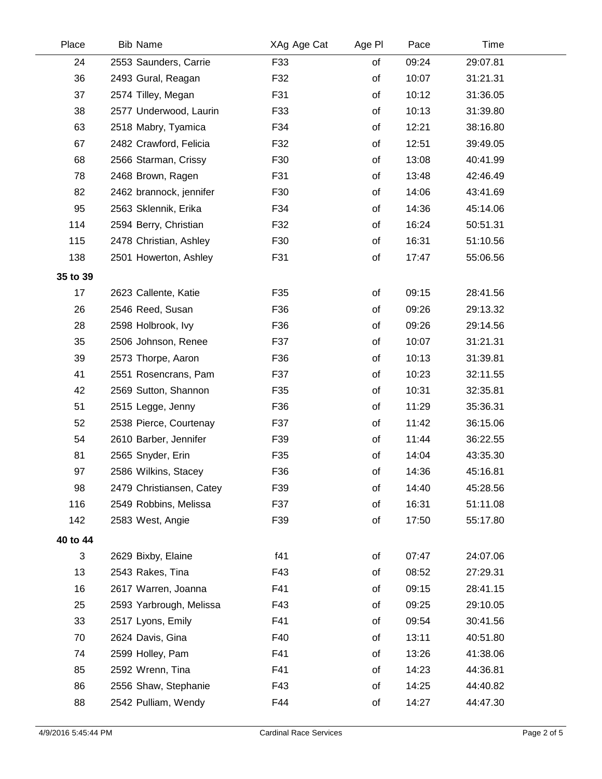| Place    | <b>Bib Name</b>          | XAg Age Cat | Age PI | Pace  | Time     |  |
|----------|--------------------------|-------------|--------|-------|----------|--|
| 24       | 2553 Saunders, Carrie    | F33         | of     | 09:24 | 29:07.81 |  |
| 36       | 2493 Gural, Reagan       | F32         | of     | 10:07 | 31:21.31 |  |
| 37       | 2574 Tilley, Megan       | F31         | of     | 10:12 | 31:36.05 |  |
| 38       | 2577 Underwood, Laurin   | F33         | of     | 10:13 | 31:39.80 |  |
| 63       | 2518 Mabry, Tyamica      | F34         | of     | 12:21 | 38:16.80 |  |
| 67       | 2482 Crawford, Felicia   | F32         | of     | 12:51 | 39:49.05 |  |
| 68       | 2566 Starman, Crissy     | F30         | of     | 13:08 | 40:41.99 |  |
| 78       | 2468 Brown, Ragen        | F31         | of     | 13:48 | 42:46.49 |  |
| 82       | 2462 brannock, jennifer  | F30         | of     | 14:06 | 43:41.69 |  |
| 95       | 2563 Sklennik, Erika     | F34         | of     | 14:36 | 45:14.06 |  |
| 114      | 2594 Berry, Christian    | F32         | of     | 16:24 | 50:51.31 |  |
| 115      | 2478 Christian, Ashley   | F30         | of     | 16:31 | 51:10.56 |  |
| 138      | 2501 Howerton, Ashley    | F31         | of     | 17:47 | 55:06.56 |  |
| 35 to 39 |                          |             |        |       |          |  |
| 17       | 2623 Callente, Katie     | F35         | of     | 09:15 | 28:41.56 |  |
| 26       | 2546 Reed, Susan         | F36         | of     | 09:26 | 29:13.32 |  |
| 28       | 2598 Holbrook, Ivy       | F36         | of     | 09:26 | 29:14.56 |  |
| 35       | 2506 Johnson, Renee      | F37         | of     | 10:07 | 31:21.31 |  |
| 39       | 2573 Thorpe, Aaron       | F36         | of     | 10:13 | 31:39.81 |  |
| 41       | 2551 Rosencrans, Pam     | F37         | of     | 10:23 | 32:11.55 |  |
| 42       | 2569 Sutton, Shannon     | F35         | of     | 10:31 | 32:35.81 |  |
| 51       | 2515 Legge, Jenny        | F36         | of     | 11:29 | 35:36.31 |  |
| 52       | 2538 Pierce, Courtenay   | F37         | of     | 11:42 | 36:15.06 |  |
| 54       | 2610 Barber, Jennifer    | F39         | of     | 11:44 | 36:22.55 |  |
| 81       | 2565 Snyder, Erin        | F35         | of     | 14:04 | 43:35.30 |  |
| 97       | 2586 Wilkins, Stacey     | F36         | of     | 14:36 | 45:16.81 |  |
| 98       | 2479 Christiansen, Catey | F39         | of     | 14:40 | 45:28.56 |  |
| 116      | 2549 Robbins, Melissa    | F37         | of     | 16:31 | 51:11.08 |  |
| 142      | 2583 West, Angie         | F39         | of     | 17:50 | 55:17.80 |  |
| 40 to 44 |                          |             |        |       |          |  |
| 3        | 2629 Bixby, Elaine       | f41         | of     | 07:47 | 24:07.06 |  |
| 13       | 2543 Rakes, Tina         | F43         | of     | 08:52 | 27:29.31 |  |
| 16       | 2617 Warren, Joanna      | F41         | of     | 09:15 | 28:41.15 |  |
| 25       | 2593 Yarbrough, Melissa  | F43         | of     | 09:25 | 29:10.05 |  |
| 33       | 2517 Lyons, Emily        | F41         | οf     | 09:54 | 30:41.56 |  |
| 70       | 2624 Davis, Gina         | F40         | of     | 13:11 | 40:51.80 |  |
| 74       | 2599 Holley, Pam         | F41         | of     | 13:26 | 41:38.06 |  |
| 85       | 2592 Wrenn, Tina         | F41         | of     | 14:23 | 44:36.81 |  |
| 86       | 2556 Shaw, Stephanie     | F43         | οf     | 14:25 | 44:40.82 |  |
| 88       | 2542 Pulliam, Wendy      | F44         | of     | 14:27 | 44:47.30 |  |
|          |                          |             |        |       |          |  |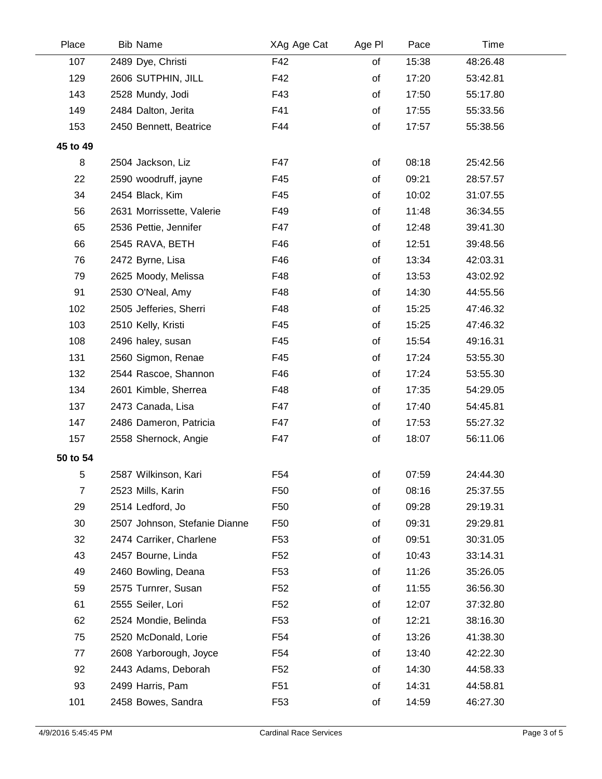| Place          | <b>Bib Name</b>               | XAg Age Cat     | Age PI | Pace  | Time     |  |
|----------------|-------------------------------|-----------------|--------|-------|----------|--|
| 107            | 2489 Dye, Christi             | F42             | of     | 15:38 | 48:26.48 |  |
| 129            | 2606 SUTPHIN, JILL            | F42             | of     | 17:20 | 53:42.81 |  |
| 143            | 2528 Mundy, Jodi              | F43             | of     | 17:50 | 55:17.80 |  |
| 149            | 2484 Dalton, Jerita           | F41             | of     | 17:55 | 55:33.56 |  |
| 153            | 2450 Bennett, Beatrice        | F44             | of     | 17:57 | 55:38.56 |  |
| 45 to 49       |                               |                 |        |       |          |  |
| 8              | 2504 Jackson, Liz             | F47             | of     | 08:18 | 25:42.56 |  |
| 22             | 2590 woodruff, jayne          | F45             | of     | 09:21 | 28:57.57 |  |
| 34             | 2454 Black, Kim               | F45             | of     | 10:02 | 31:07.55 |  |
| 56             | 2631 Morrissette, Valerie     | F49             | of     | 11:48 | 36:34.55 |  |
| 65             | 2536 Pettie, Jennifer         | F47             | of     | 12:48 | 39:41.30 |  |
| 66             | 2545 RAVA, BETH               | F46             | of     | 12:51 | 39:48.56 |  |
| 76             | 2472 Byrne, Lisa              | F46             | of     | 13:34 | 42:03.31 |  |
| 79             | 2625 Moody, Melissa           | F48             | of     | 13:53 | 43:02.92 |  |
| 91             | 2530 O'Neal, Amy              | F48             | of     | 14:30 | 44:55.56 |  |
| 102            | 2505 Jefferies, Sherri        | F48             | of     | 15:25 | 47:46.32 |  |
| 103            | 2510 Kelly, Kristi            | F45             | of     | 15:25 | 47:46.32 |  |
| 108            | 2496 haley, susan             | F45             | of     | 15:54 | 49:16.31 |  |
| 131            | 2560 Sigmon, Renae            | F45             | of     | 17:24 | 53:55.30 |  |
| 132            | 2544 Rascoe, Shannon          | F46             | of     | 17:24 | 53:55.30 |  |
| 134            | 2601 Kimble, Sherrea          | F48             | of     | 17:35 | 54:29.05 |  |
| 137            | 2473 Canada, Lisa             | F47             | of     | 17:40 | 54:45.81 |  |
| 147            | 2486 Dameron, Patricia        | F47             | of     | 17:53 | 55:27.32 |  |
| 157            | 2558 Shernock, Angie          | F47             | of     | 18:07 | 56:11.06 |  |
| 50 to 54       |                               |                 |        |       |          |  |
| 5              | 2587 Wilkinson, Kari          | F <sub>54</sub> | of     | 07:59 | 24:44.30 |  |
| $\overline{7}$ | 2523 Mills, Karin             | F50             | of     | 08:16 | 25:37.55 |  |
| 29             | 2514 Ledford, Jo              | F50             | of     | 09:28 | 29:19.31 |  |
| 30             | 2507 Johnson, Stefanie Dianne | F50             | of     | 09:31 | 29:29.81 |  |
| 32             | 2474 Carriker, Charlene       | F53             | of     | 09:51 | 30:31.05 |  |
| 43             | 2457 Bourne, Linda            | F52             | of     | 10:43 | 33:14.31 |  |
| 49             | 2460 Bowling, Deana           | F53             | of     | 11:26 | 35:26.05 |  |
| 59             | 2575 Turnrer, Susan           | F52             | of     | 11:55 | 36:56.30 |  |
| 61             | 2555 Seiler, Lori             | F52             | of     | 12:07 | 37:32.80 |  |
| 62             | 2524 Mondie, Belinda          | F53             | of     | 12:21 | 38:16.30 |  |
| 75             | 2520 McDonald, Lorie          | F54             | of     | 13:26 | 41:38.30 |  |
| 77             | 2608 Yarborough, Joyce        | F54             | of     | 13:40 | 42:22.30 |  |
| 92             | 2443 Adams, Deborah           | F52             | of     | 14:30 | 44:58.33 |  |
| 93             | 2499 Harris, Pam              | F <sub>51</sub> | of     | 14:31 | 44:58.81 |  |
| 101            | 2458 Bowes, Sandra            | F53             | of     | 14:59 | 46:27.30 |  |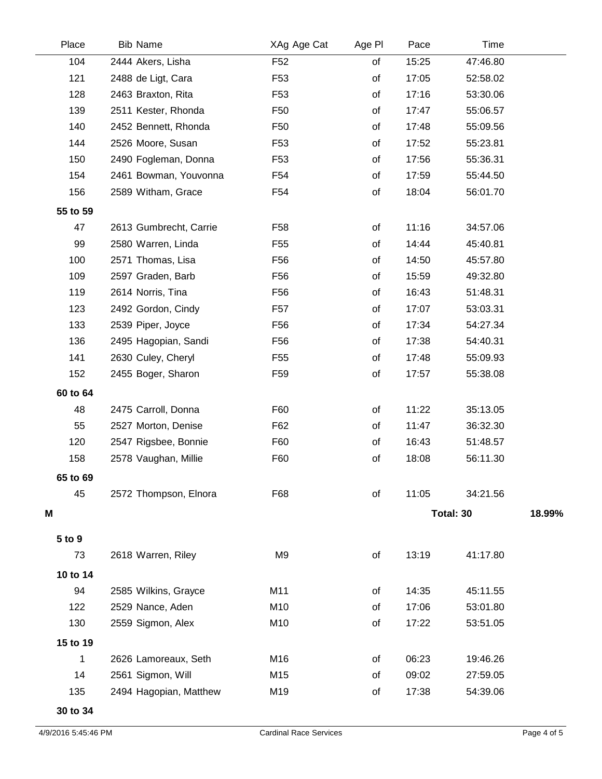| Place    | <b>Bib Name</b>        | XAg Age Cat     | Age PI | Pace      | Time     |        |
|----------|------------------------|-----------------|--------|-----------|----------|--------|
| 104      | 2444 Akers, Lisha      | F <sub>52</sub> | of     | 15:25     | 47:46.80 |        |
| 121      | 2488 de Ligt, Cara     | F <sub>53</sub> | of     | 17:05     | 52:58.02 |        |
| 128      | 2463 Braxton, Rita     | F53             | of     | 17:16     | 53:30.06 |        |
| 139      | 2511 Kester, Rhonda    | F50             | of     | 17:47     | 55:06.57 |        |
| 140      | 2452 Bennett, Rhonda   | F <sub>50</sub> | of     | 17:48     | 55:09.56 |        |
| 144      | 2526 Moore, Susan      | F53             | of     | 17:52     | 55:23.81 |        |
| 150      | 2490 Fogleman, Donna   | F53             | of     | 17:56     | 55:36.31 |        |
| 154      | 2461 Bowman, Youvonna  | F54             | of     | 17:59     | 55:44.50 |        |
| 156      | 2589 Witham, Grace     | F54             | of     | 18:04     | 56:01.70 |        |
| 55 to 59 |                        |                 |        |           |          |        |
| 47       | 2613 Gumbrecht, Carrie | F <sub>58</sub> | of     | 11:16     | 34:57.06 |        |
| 99       | 2580 Warren, Linda     | F <sub>55</sub> | of     | 14:44     | 45:40.81 |        |
| 100      | 2571 Thomas, Lisa      | F56             | of     | 14:50     | 45:57.80 |        |
| 109      | 2597 Graden, Barb      | F <sub>56</sub> | of     | 15:59     | 49:32.80 |        |
| 119      | 2614 Norris, Tina      | F <sub>56</sub> | of     | 16:43     | 51:48.31 |        |
| 123      | 2492 Gordon, Cindy     | F <sub>57</sub> | of     | 17:07     | 53:03.31 |        |
| 133      | 2539 Piper, Joyce      | F56             | of     | 17:34     | 54:27.34 |        |
| 136      | 2495 Hagopian, Sandi   | F <sub>56</sub> | of     | 17:38     | 54:40.31 |        |
| 141      | 2630 Culey, Cheryl     | F <sub>55</sub> | of     | 17:48     | 55:09.93 |        |
| 152      | 2455 Boger, Sharon     | F <sub>59</sub> | of     | 17:57     | 55:38.08 |        |
| 60 to 64 |                        |                 |        |           |          |        |
| 48       | 2475 Carroll, Donna    | F60             | of     | 11:22     | 35:13.05 |        |
| 55       | 2527 Morton, Denise    | F62             | of     | 11:47     | 36:32.30 |        |
| 120      | 2547 Rigsbee, Bonnie   | F60             | of     | 16:43     | 51:48.57 |        |
| 158      | 2578 Vaughan, Millie   | F60             | of     | 18:08     | 56:11.30 |        |
| 65 to 69 |                        |                 |        |           |          |        |
| 45       | 2572 Thompson, Elnora  | F68             | of     | 11:05     | 34:21.56 |        |
| M        |                        |                 |        | Total: 30 |          | 18.99% |
|          |                        |                 |        |           |          |        |
| 5 to 9   |                        |                 |        |           |          |        |
| 73       | 2618 Warren, Riley     | M <sub>9</sub>  | of     | 13:19     | 41:17.80 |        |
| 10 to 14 |                        |                 |        |           |          |        |
| 94       | 2585 Wilkins, Grayce   | M11             | of     | 14:35     | 45:11.55 |        |
| 122      | 2529 Nance, Aden       | M10             | of     | 17:06     | 53:01.80 |        |
| 130      | 2559 Sigmon, Alex      | M10             | of     | 17:22     | 53:51.05 |        |
| 15 to 19 |                        |                 |        |           |          |        |
| 1        | 2626 Lamoreaux, Seth   | M16             | of     | 06:23     | 19:46.26 |        |
| 14       | 2561 Sigmon, Will      | M15             | of     | 09:02     | 27:59.05 |        |
| 135      | 2494 Hagopian, Matthew | M19             | of     | 17:38     | 54:39.06 |        |
|          |                        |                 |        |           |          |        |